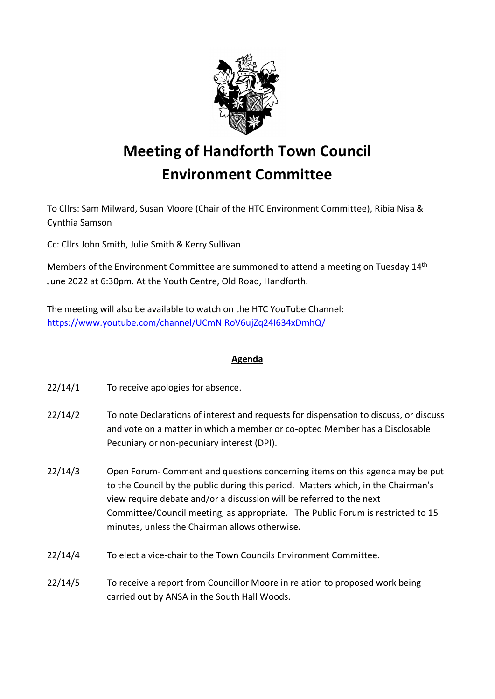

## **Meeting of Handforth Town Council Environment Committee**

To Cllrs: Sam Milward, Susan Moore (Chair of the HTC Environment Committee), Ribia Nisa & Cynthia Samson

Cc: Cllrs John Smith, Julie Smith & Kerry Sullivan

Members of the Environment Committee are summoned to attend a meeting on Tuesday 14<sup>th</sup> June 2022 at 6:30pm. At the Youth Centre, Old Road, Handforth.

The meeting will also be available to watch on the HTC YouTube Channel: <https://www.youtube.com/channel/UCmNIRoV6ujZq24I634xDmhQ/>

## **Agenda**

- 22/14/1 To receive apologies for absence.
- 22/14/2 To note Declarations of interest and requests for dispensation to discuss, or discuss and vote on a matter in which a member or co-opted Member has a Disclosable Pecuniary or non-pecuniary interest (DPI).
- 22/14/3 Open Forum- Comment and questions concerning items on this agenda may be put to the Council by the public during this period. Matters which, in the Chairman's view require debate and/or a discussion will be referred to the next Committee/Council meeting, as appropriate. The Public Forum is restricted to 15 minutes, unless the Chairman allows otherwise.
- 22/14/4 To elect a vice-chair to the Town Councils Environment Committee.
- 22/14/5 To receive a report from Councillor Moore in relation to proposed work being carried out by ANSA in the South Hall Woods.